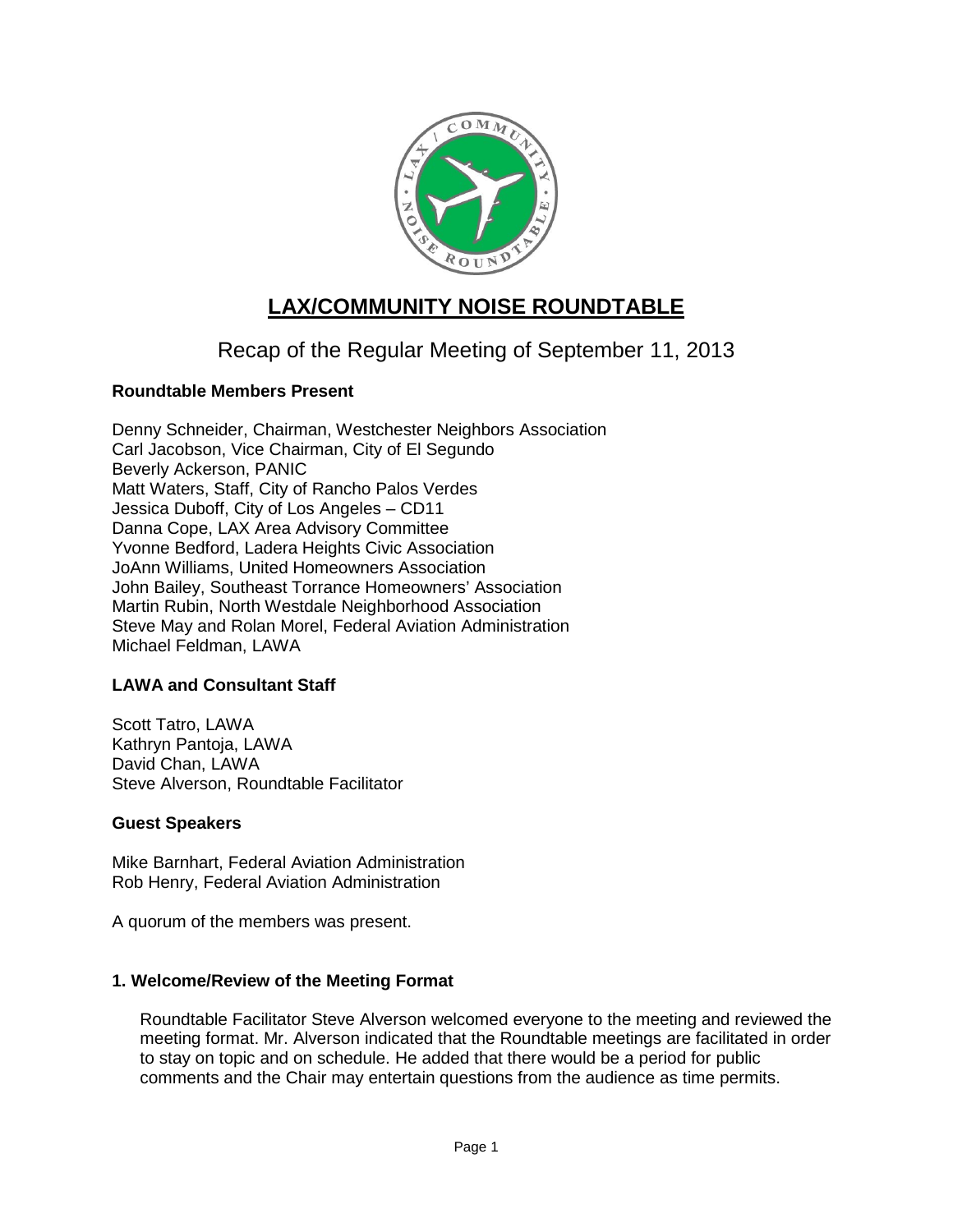

# **LAX/COMMUNITY NOISE ROUNDTABLE**

# Recap of the Regular Meeting of September 11, 2013

# **Roundtable Members Present**

Denny Schneider, Chairman, Westchester Neighbors Association Carl Jacobson, Vice Chairman, City of El Segundo Beverly Ackerson, PANIC Matt Waters, Staff, City of Rancho Palos Verdes Jessica Duboff, City of Los Angeles – CD11 Danna Cope, LAX Area Advisory Committee Yvonne Bedford, Ladera Heights Civic Association JoAnn Williams, United Homeowners Association John Bailey, Southeast Torrance Homeowners' Association Martin Rubin, North Westdale Neighborhood Association Steve May and Rolan Morel, Federal Aviation Administration Michael Feldman, LAWA

# **LAWA and Consultant Staff**

Scott Tatro, LAWA Kathryn Pantoja, LAWA David Chan, LAWA Steve Alverson, Roundtable Facilitator

# **Guest Speakers**

Mike Barnhart, Federal Aviation Administration Rob Henry, Federal Aviation Administration

A quorum of the members was present.

# **1. Welcome/Review of the Meeting Format**

Roundtable Facilitator Steve Alverson welcomed everyone to the meeting and reviewed the meeting format. Mr. Alverson indicated that the Roundtable meetings are facilitated in order to stay on topic and on schedule. He added that there would be a period for public comments and the Chair may entertain questions from the audience as time permits.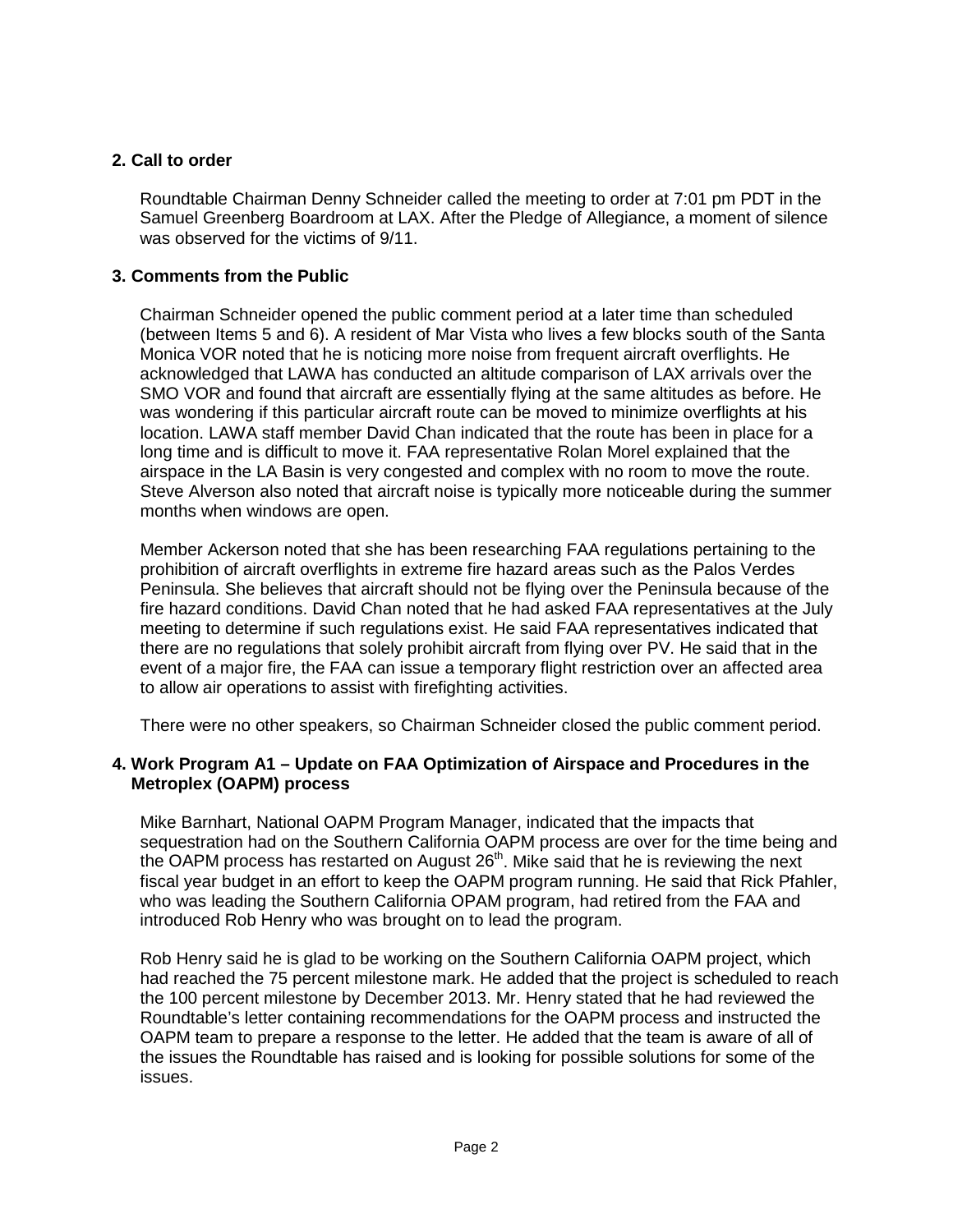# **2. Call to order**

Roundtable Chairman Denny Schneider called the meeting to order at 7:01 pm PDT in the Samuel Greenberg Boardroom at LAX. After the Pledge of Allegiance, a moment of silence was observed for the victims of 9/11.

# **3. Comments from the Public**

Chairman Schneider opened the public comment period at a later time than scheduled (between Items 5 and 6). A resident of Mar Vista who lives a few blocks south of the Santa Monica VOR noted that he is noticing more noise from frequent aircraft overflights. He acknowledged that LAWA has conducted an altitude comparison of LAX arrivals over the SMO VOR and found that aircraft are essentially flying at the same altitudes as before. He was wondering if this particular aircraft route can be moved to minimize overflights at his location. LAWA staff member David Chan indicated that the route has been in place for a long time and is difficult to move it. FAA representative Rolan Morel explained that the airspace in the LA Basin is very congested and complex with no room to move the route. Steve Alverson also noted that aircraft noise is typically more noticeable during the summer months when windows are open.

Member Ackerson noted that she has been researching FAA regulations pertaining to the prohibition of aircraft overflights in extreme fire hazard areas such as the Palos Verdes Peninsula. She believes that aircraft should not be flying over the Peninsula because of the fire hazard conditions. David Chan noted that he had asked FAA representatives at the July meeting to determine if such regulations exist. He said FAA representatives indicated that there are no regulations that solely prohibit aircraft from flying over PV. He said that in the event of a major fire, the FAA can issue a temporary flight restriction over an affected area to allow air operations to assist with firefighting activities.

There were no other speakers, so Chairman Schneider closed the public comment period.

# **4. Work Program A1 – Update on FAA Optimization of Airspace and Procedures in the Metroplex (OAPM) process**

Mike Barnhart, National OAPM Program Manager, indicated that the impacts that sequestration had on the Southern California OAPM process are over for the time being and the OAPM process has restarted on August 26<sup>th</sup>. Mike said that he is reviewing the next fiscal year budget in an effort to keep the OAPM program running. He said that Rick Pfahler, who was leading the Southern California OPAM program, had retired from the FAA and introduced Rob Henry who was brought on to lead the program.

Rob Henry said he is glad to be working on the Southern California OAPM project, which had reached the 75 percent milestone mark. He added that the project is scheduled to reach the 100 percent milestone by December 2013. Mr. Henry stated that he had reviewed the Roundtable's letter containing recommendations for the OAPM process and instructed the OAPM team to prepare a response to the letter. He added that the team is aware of all of the issues the Roundtable has raised and is looking for possible solutions for some of the issues.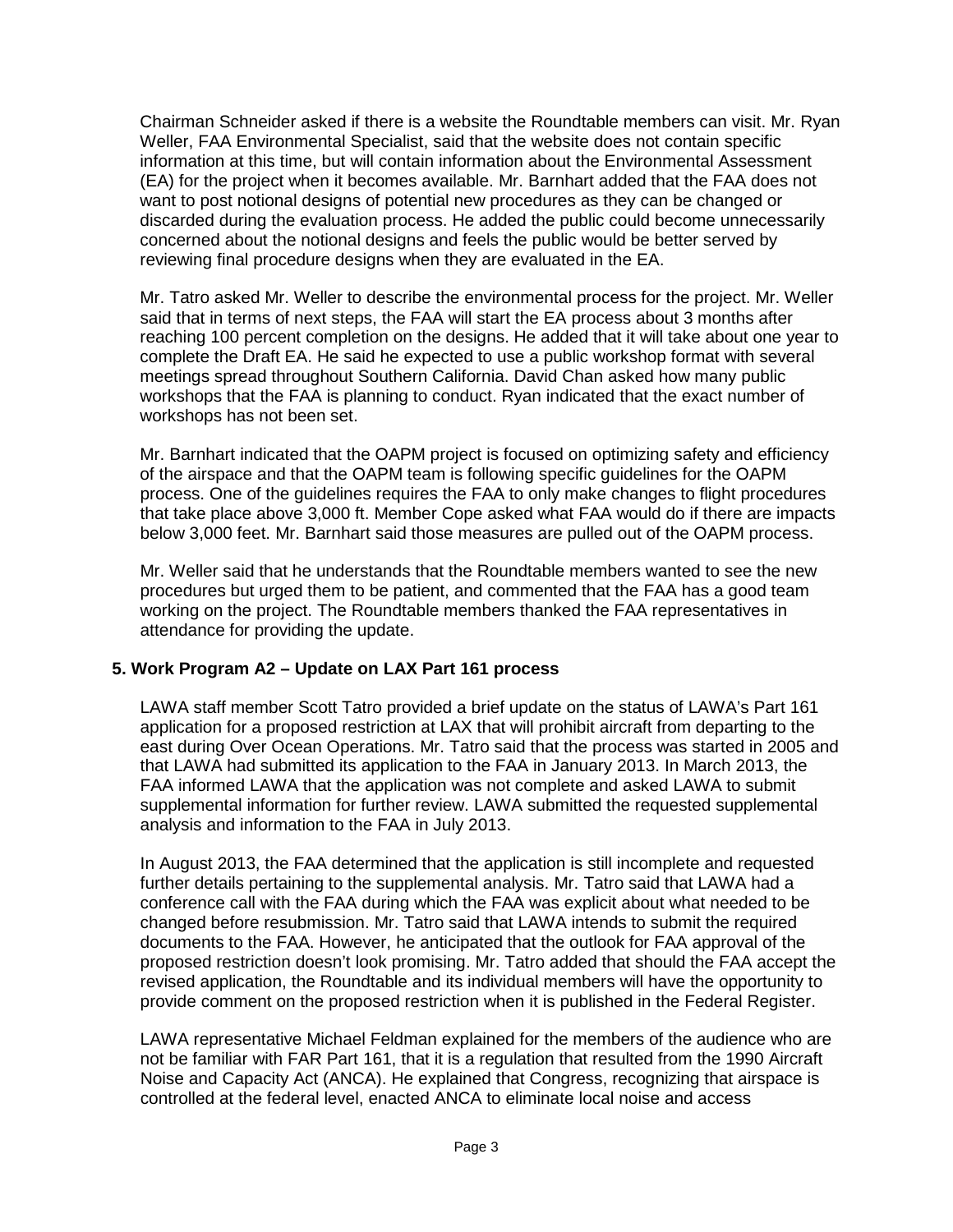Chairman Schneider asked if there is a website the Roundtable members can visit. Mr. Ryan Weller, FAA Environmental Specialist, said that the website does not contain specific information at this time, but will contain information about the Environmental Assessment (EA) for the project when it becomes available. Mr. Barnhart added that the FAA does not want to post notional designs of potential new procedures as they can be changed or discarded during the evaluation process. He added the public could become unnecessarily concerned about the notional designs and feels the public would be better served by reviewing final procedure designs when they are evaluated in the EA.

Mr. Tatro asked Mr. Weller to describe the environmental process for the project. Mr. Weller said that in terms of next steps, the FAA will start the EA process about 3 months after reaching 100 percent completion on the designs. He added that it will take about one year to complete the Draft EA. He said he expected to use a public workshop format with several meetings spread throughout Southern California. David Chan asked how many public workshops that the FAA is planning to conduct. Ryan indicated that the exact number of workshops has not been set.

Mr. Barnhart indicated that the OAPM project is focused on optimizing safety and efficiency of the airspace and that the OAPM team is following specific guidelines for the OAPM process. One of the guidelines requires the FAA to only make changes to flight procedures that take place above 3,000 ft. Member Cope asked what FAA would do if there are impacts below 3,000 feet. Mr. Barnhart said those measures are pulled out of the OAPM process.

Mr. Weller said that he understands that the Roundtable members wanted to see the new procedures but urged them to be patient, and commented that the FAA has a good team working on the project. The Roundtable members thanked the FAA representatives in attendance for providing the update.

# **5. Work Program A2 – Update on LAX Part 161 process**

LAWA staff member Scott Tatro provided a brief update on the status of LAWA's Part 161 application for a proposed restriction at LAX that will prohibit aircraft from departing to the east during Over Ocean Operations. Mr. Tatro said that the process was started in 2005 and that LAWA had submitted its application to the FAA in January 2013. In March 2013, the FAA informed LAWA that the application was not complete and asked LAWA to submit supplemental information for further review. LAWA submitted the requested supplemental analysis and information to the FAA in July 2013.

In August 2013, the FAA determined that the application is still incomplete and requested further details pertaining to the supplemental analysis. Mr. Tatro said that LAWA had a conference call with the FAA during which the FAA was explicit about what needed to be changed before resubmission. Mr. Tatro said that LAWA intends to submit the required documents to the FAA. However, he anticipated that the outlook for FAA approval of the proposed restriction doesn't look promising. Mr. Tatro added that should the FAA accept the revised application, the Roundtable and its individual members will have the opportunity to provide comment on the proposed restriction when it is published in the Federal Register.

LAWA representative Michael Feldman explained for the members of the audience who are not be familiar with FAR Part 161, that it is a regulation that resulted from the 1990 Aircraft Noise and Capacity Act (ANCA). He explained that Congress, recognizing that airspace is controlled at the federal level, enacted ANCA to eliminate local noise and access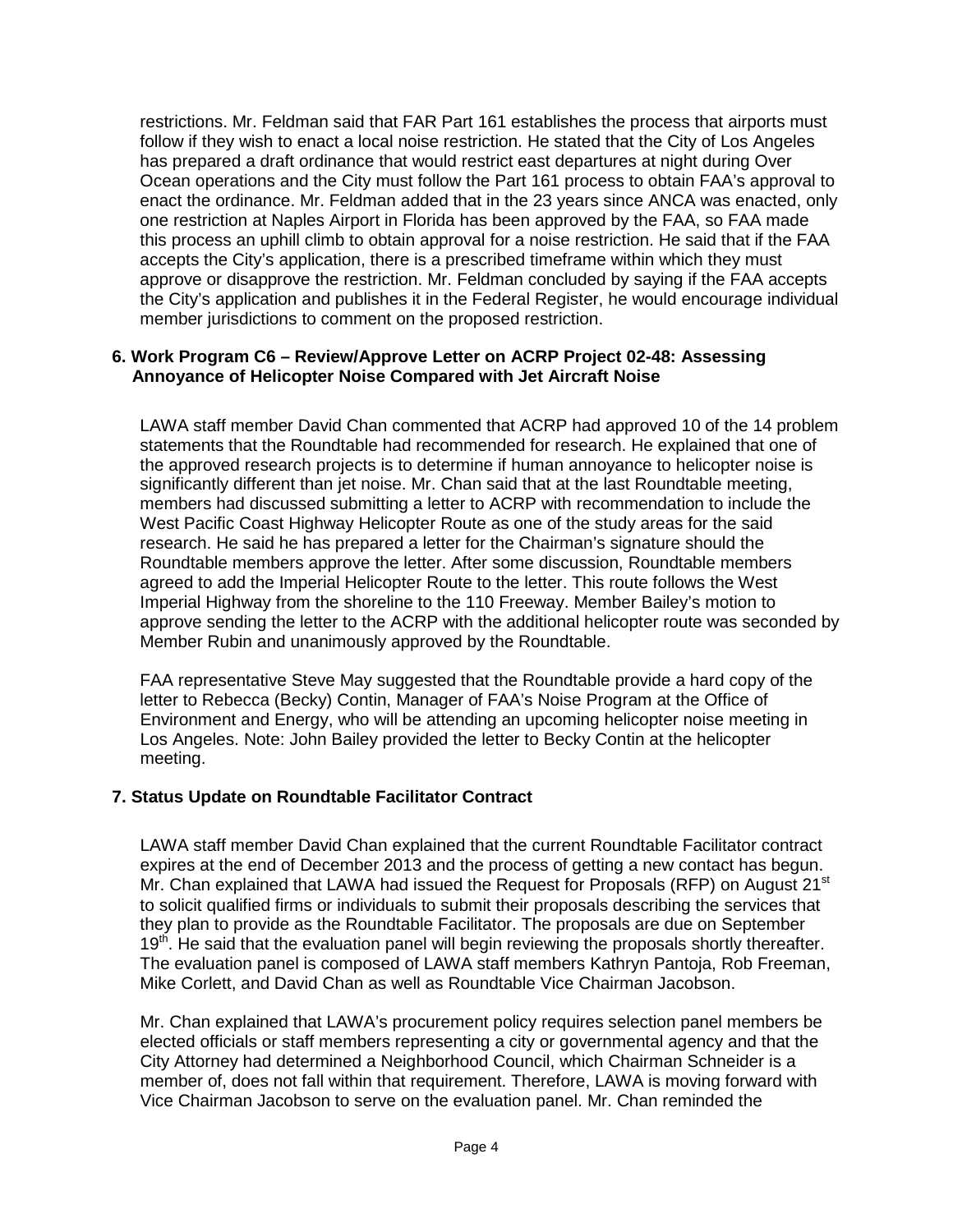restrictions. Mr. Feldman said that FAR Part 161 establishes the process that airports must follow if they wish to enact a local noise restriction. He stated that the City of Los Angeles has prepared a draft ordinance that would restrict east departures at night during Over Ocean operations and the City must follow the Part 161 process to obtain FAA's approval to enact the ordinance. Mr. Feldman added that in the 23 years since ANCA was enacted, only one restriction at Naples Airport in Florida has been approved by the FAA, so FAA made this process an uphill climb to obtain approval for a noise restriction. He said that if the FAA accepts the City's application, there is a prescribed timeframe within which they must approve or disapprove the restriction. Mr. Feldman concluded by saying if the FAA accepts the City's application and publishes it in the Federal Register, he would encourage individual member jurisdictions to comment on the proposed restriction.

# **6. Work Program C6 – Review/Approve Letter on ACRP Project 02-48: Assessing Annoyance of Helicopter Noise Compared with Jet Aircraft Noise**

LAWA staff member David Chan commented that ACRP had approved 10 of the 14 problem statements that the Roundtable had recommended for research. He explained that one of the approved research projects is to determine if human annoyance to helicopter noise is significantly different than jet noise. Mr. Chan said that at the last Roundtable meeting, members had discussed submitting a letter to ACRP with recommendation to include the West Pacific Coast Highway Helicopter Route as one of the study areas for the said research. He said he has prepared a letter for the Chairman's signature should the Roundtable members approve the letter. After some discussion, Roundtable members agreed to add the Imperial Helicopter Route to the letter. This route follows the West Imperial Highway from the shoreline to the 110 Freeway. Member Bailey's motion to approve sending the letter to the ACRP with the additional helicopter route was seconded by Member Rubin and unanimously approved by the Roundtable.

FAA representative Steve May suggested that the Roundtable provide a hard copy of the letter to Rebecca (Becky) Contin, Manager of FAA's Noise Program at the Office of Environment and Energy, who will be attending an upcoming helicopter noise meeting in Los Angeles. Note: John Bailey provided the letter to Becky Contin at the helicopter meeting.

# **7. Status Update on Roundtable Facilitator Contract**

LAWA staff member David Chan explained that the current Roundtable Facilitator contract expires at the end of December 2013 and the process of getting a new contact has begun. Mr. Chan explained that LAWA had issued the Request for Proposals (RFP) on August 21 $^{\rm st}$ to solicit qualified firms or individuals to submit their proposals describing the services that they plan to provide as the Roundtable Facilitator. The proposals are due on September  $19<sup>th</sup>$ . He said that the evaluation panel will begin reviewing the proposals shortly thereafter. The evaluation panel is composed of LAWA staff members Kathryn Pantoja, Rob Freeman, Mike Corlett, and David Chan as well as Roundtable Vice Chairman Jacobson.

Mr. Chan explained that LAWA's procurement policy requires selection panel members be elected officials or staff members representing a city or governmental agency and that the City Attorney had determined a Neighborhood Council, which Chairman Schneider is a member of, does not fall within that requirement. Therefore, LAWA is moving forward with Vice Chairman Jacobson to serve on the evaluation panel. Mr. Chan reminded the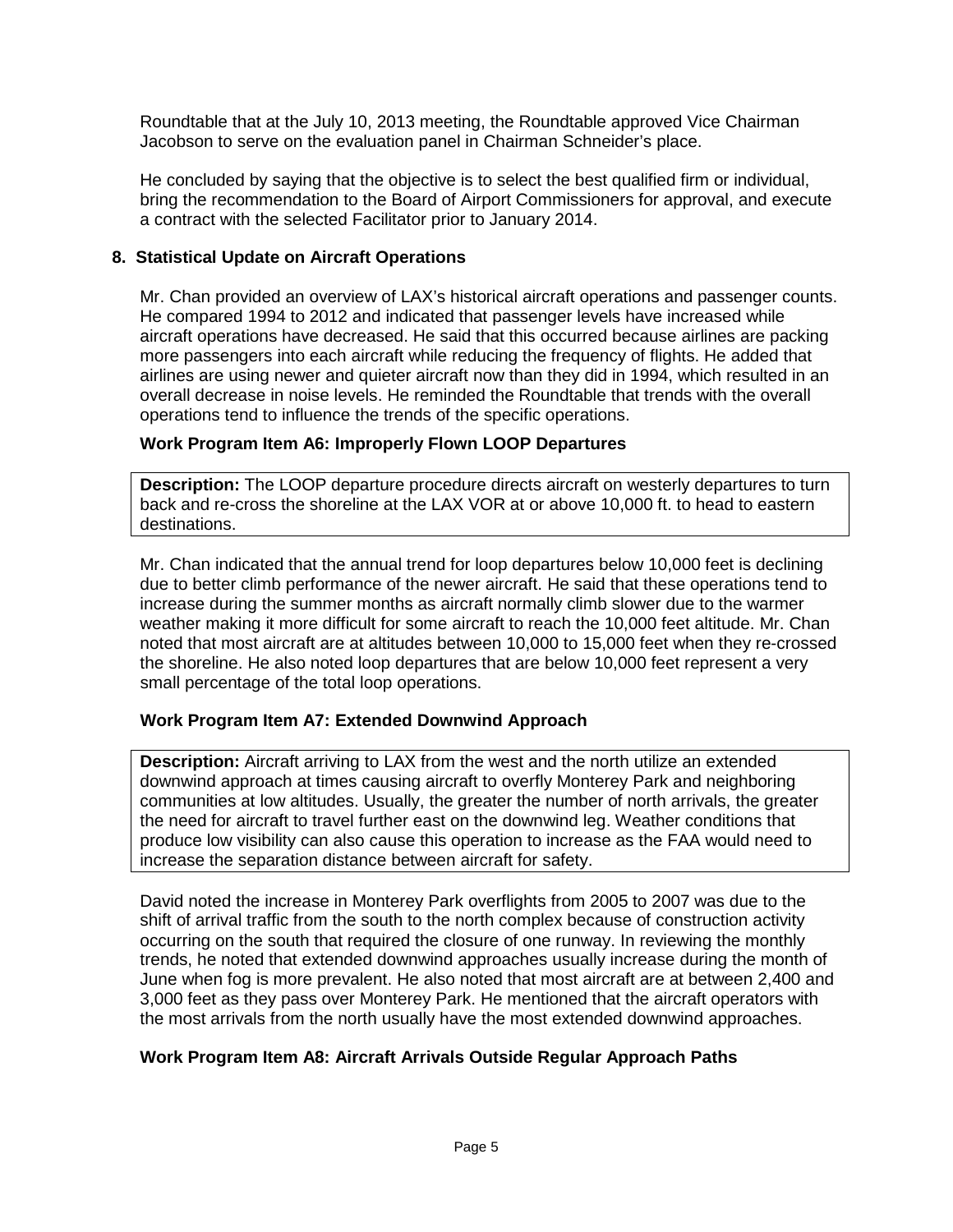Roundtable that at the July 10, 2013 meeting, the Roundtable approved Vice Chairman Jacobson to serve on the evaluation panel in Chairman Schneider's place.

He concluded by saying that the objective is to select the best qualified firm or individual, bring the recommendation to the Board of Airport Commissioners for approval, and execute a contract with the selected Facilitator prior to January 2014.

# **8. Statistical Update on Aircraft Operations**

Mr. Chan provided an overview of LAX's historical aircraft operations and passenger counts. He compared 1994 to 2012 and indicated that passenger levels have increased while aircraft operations have decreased. He said that this occurred because airlines are packing more passengers into each aircraft while reducing the frequency of flights. He added that airlines are using newer and quieter aircraft now than they did in 1994, which resulted in an overall decrease in noise levels. He reminded the Roundtable that trends with the overall operations tend to influence the trends of the specific operations.

# **Work Program Item A6: Improperly Flown LOOP Departures**

**Description:** The LOOP departure procedure directs aircraft on westerly departures to turn back and re-cross the shoreline at the LAX VOR at or above 10,000 ft. to head to eastern destinations.

Mr. Chan indicated that the annual trend for loop departures below 10,000 feet is declining due to better climb performance of the newer aircraft. He said that these operations tend to increase during the summer months as aircraft normally climb slower due to the warmer weather making it more difficult for some aircraft to reach the 10,000 feet altitude. Mr. Chan noted that most aircraft are at altitudes between 10,000 to 15,000 feet when they re-crossed the shoreline. He also noted loop departures that are below 10,000 feet represent a very small percentage of the total loop operations.

# **Work Program Item A7: Extended Downwind Approach**

**Description:** Aircraft arriving to LAX from the west and the north utilize an extended downwind approach at times causing aircraft to overfly Monterey Park and neighboring communities at low altitudes. Usually, the greater the number of north arrivals, the greater the need for aircraft to travel further east on the downwind leg. Weather conditions that produce low visibility can also cause this operation to increase as the FAA would need to increase the separation distance between aircraft for safety.

David noted the increase in Monterey Park overflights from 2005 to 2007 was due to the shift of arrival traffic from the south to the north complex because of construction activity occurring on the south that required the closure of one runway. In reviewing the monthly trends, he noted that extended downwind approaches usually increase during the month of June when fog is more prevalent. He also noted that most aircraft are at between 2,400 and 3,000 feet as they pass over Monterey Park. He mentioned that the aircraft operators with the most arrivals from the north usually have the most extended downwind approaches.

# **Work Program Item A8: Aircraft Arrivals Outside Regular Approach Paths**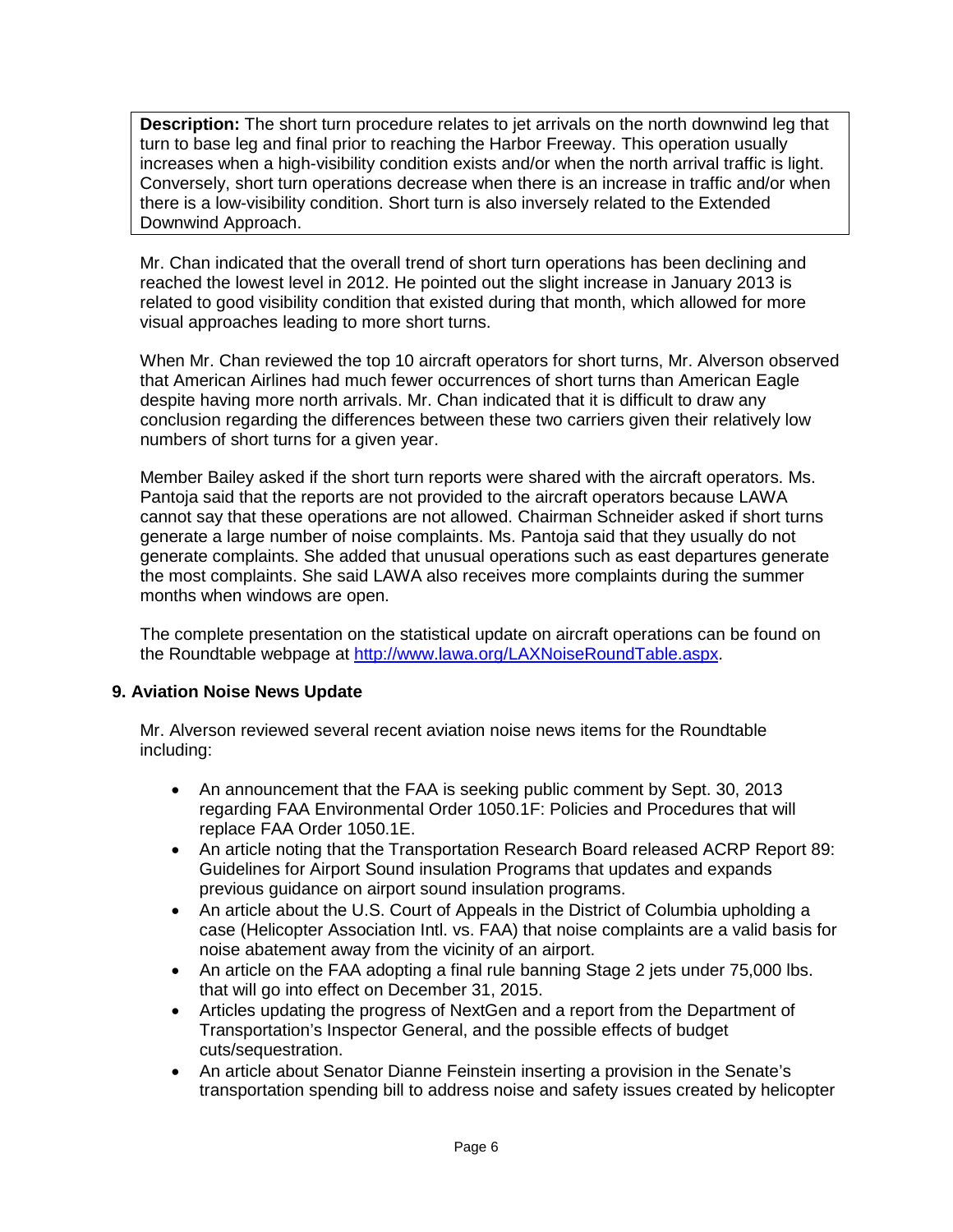**Description:** The short turn procedure relates to jet arrivals on the north downwind leg that turn to base leg and final prior to reaching the Harbor Freeway. This operation usually increases when a high-visibility condition exists and/or when the north arrival traffic is light. Conversely, short turn operations decrease when there is an increase in traffic and/or when there is a low-visibility condition. Short turn is also inversely related to the Extended Downwind Approach.

Mr. Chan indicated that the overall trend of short turn operations has been declining and reached the lowest level in 2012. He pointed out the slight increase in January 2013 is related to good visibility condition that existed during that month, which allowed for more visual approaches leading to more short turns.

When Mr. Chan reviewed the top 10 aircraft operators for short turns, Mr. Alverson observed that American Airlines had much fewer occurrences of short turns than American Eagle despite having more north arrivals. Mr. Chan indicated that it is difficult to draw any conclusion regarding the differences between these two carriers given their relatively low numbers of short turns for a given year.

Member Bailey asked if the short turn reports were shared with the aircraft operators. Ms. Pantoja said that the reports are not provided to the aircraft operators because LAWA cannot say that these operations are not allowed. Chairman Schneider asked if short turns generate a large number of noise complaints. Ms. Pantoja said that they usually do not generate complaints. She added that unusual operations such as east departures generate the most complaints. She said LAWA also receives more complaints during the summer months when windows are open.

The complete presentation on the statistical update on aircraft operations can be found on the Roundtable webpage at [http://www.lawa.org/LAXNoiseRoundTable.aspx.](http://www.lawa.org/LAXNoiseRoundTable.aspx)

# **9. Aviation Noise News Update**

Mr. Alverson reviewed several recent aviation noise news items for the Roundtable including:

- An announcement that the FAA is seeking public comment by Sept. 30, 2013 regarding FAA Environmental Order 1050.1F: Policies and Procedures that will replace FAA Order 1050.1E.
- An article noting that the Transportation Research Board released ACRP Report 89: Guidelines for Airport Sound insulation Programs that updates and expands previous guidance on airport sound insulation programs.
- An article about the U.S. Court of Appeals in the District of Columbia upholding a case (Helicopter Association Intl. vs. FAA) that noise complaints are a valid basis for noise abatement away from the vicinity of an airport.
- An article on the FAA adopting a final rule banning Stage 2 jets under 75,000 lbs. that will go into effect on December 31, 2015.
- Articles updating the progress of NextGen and a report from the Department of Transportation's Inspector General, and the possible effects of budget cuts/sequestration.
- An article about Senator Dianne Feinstein inserting a provision in the Senate's transportation spending bill to address noise and safety issues created by helicopter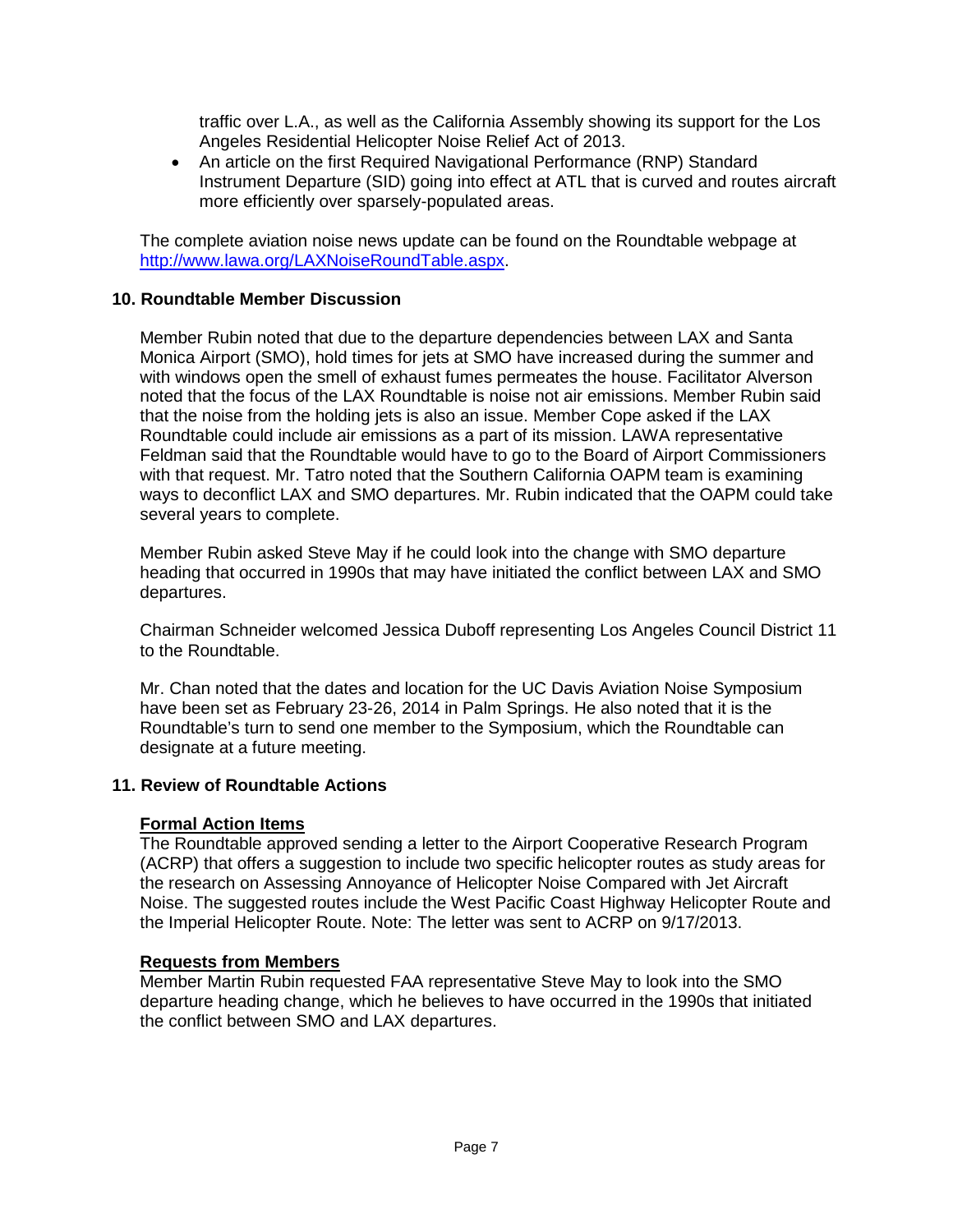traffic over L.A., as well as the California Assembly showing its support for the Los Angeles Residential Helicopter Noise Relief Act of 2013.

• An article on the first Required Navigational Performance (RNP) Standard Instrument Departure (SID) going into effect at ATL that is curved and routes aircraft more efficiently over sparsely-populated areas.

The complete aviation noise news update can be found on the Roundtable webpage at [http://www.lawa.org/LAXNoiseRoundTable.aspx.](http://www.lawa.org/LAXNoiseRoundTable.aspx)

# **10. Roundtable Member Discussion**

Member Rubin noted that due to the departure dependencies between LAX and Santa Monica Airport (SMO), hold times for jets at SMO have increased during the summer and with windows open the smell of exhaust fumes permeates the house. Facilitator Alverson noted that the focus of the LAX Roundtable is noise not air emissions. Member Rubin said that the noise from the holding jets is also an issue. Member Cope asked if the LAX Roundtable could include air emissions as a part of its mission. LAWA representative Feldman said that the Roundtable would have to go to the Board of Airport Commissioners with that request. Mr. Tatro noted that the Southern California OAPM team is examining ways to deconflict LAX and SMO departures. Mr. Rubin indicated that the OAPM could take several years to complete.

Member Rubin asked Steve May if he could look into the change with SMO departure heading that occurred in 1990s that may have initiated the conflict between LAX and SMO departures.

Chairman Schneider welcomed Jessica Duboff representing Los Angeles Council District 11 to the Roundtable.

Mr. Chan noted that the dates and location for the UC Davis Aviation Noise Symposium have been set as February 23-26, 2014 in Palm Springs. He also noted that it is the Roundtable's turn to send one member to the Symposium, which the Roundtable can designate at a future meeting.

# **11. Review of Roundtable Actions**

# **Formal Action Items**

The Roundtable approved sending a letter to the Airport Cooperative Research Program (ACRP) that offers a suggestion to include two specific helicopter routes as study areas for the research on Assessing Annoyance of Helicopter Noise Compared with Jet Aircraft Noise. The suggested routes include the West Pacific Coast Highway Helicopter Route and the Imperial Helicopter Route. Note: The letter was sent to ACRP on 9/17/2013.

# **Requests from Members**

Member Martin Rubin requested FAA representative Steve May to look into the SMO departure heading change, which he believes to have occurred in the 1990s that initiated the conflict between SMO and LAX departures.